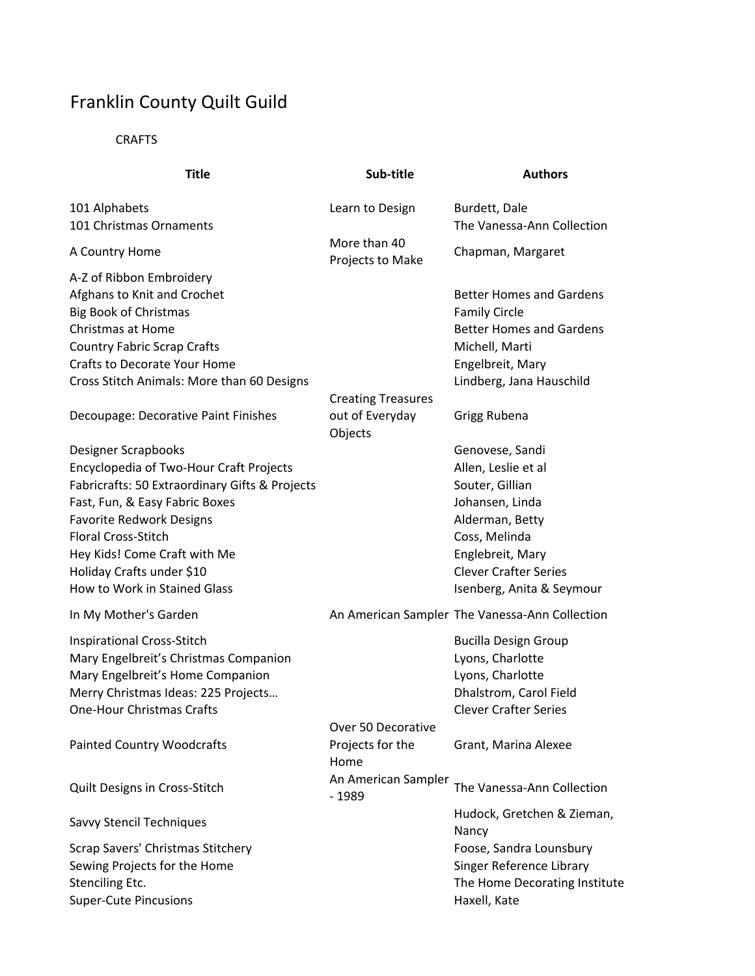## Franklin County Quilt Guild

**CRAFTS** 

| <b>Title</b>                                                                                                                                                                                                                                                                                                            | Sub-title                                               | <b>Authors</b>                                                                                                                                                                                    |
|-------------------------------------------------------------------------------------------------------------------------------------------------------------------------------------------------------------------------------------------------------------------------------------------------------------------------|---------------------------------------------------------|---------------------------------------------------------------------------------------------------------------------------------------------------------------------------------------------------|
| 101 Alphabets<br>101 Christmas Ornaments                                                                                                                                                                                                                                                                                | Learn to Design                                         | Burdett, Dale<br>The Vanessa-Ann Collection                                                                                                                                                       |
| A Country Home                                                                                                                                                                                                                                                                                                          | More than 40<br>Projects to Make                        | Chapman, Margaret                                                                                                                                                                                 |
| A-Z of Ribbon Embroidery<br>Afghans to Knit and Crochet<br><b>Big Book of Christmas</b><br><b>Christmas at Home</b><br><b>Country Fabric Scrap Crafts</b><br><b>Crafts to Decorate Your Home</b><br>Cross Stitch Animals: More than 60 Designs                                                                          |                                                         | <b>Better Homes and Gardens</b><br><b>Family Circle</b><br><b>Better Homes and Gardens</b><br>Michell, Marti<br>Engelbreit, Mary<br>Lindberg, Jana Hauschild                                      |
| Decoupage: Decorative Paint Finishes                                                                                                                                                                                                                                                                                    | <b>Creating Treasures</b><br>out of Everyday<br>Objects | Grigg Rubena                                                                                                                                                                                      |
| <b>Designer Scrapbooks</b><br>Encyclopedia of Two-Hour Craft Projects<br>Fabricrafts: 50 Extraordinary Gifts & Projects<br>Fast, Fun, & Easy Fabric Boxes<br><b>Favorite Redwork Designs</b><br><b>Floral Cross-Stitch</b><br>Hey Kids! Come Craft with Me<br>Holiday Crafts under \$10<br>How to Work in Stained Glass |                                                         | Genovese, Sandi<br>Allen, Leslie et al<br>Souter, Gillian<br>Johansen, Linda<br>Alderman, Betty<br>Coss, Melinda<br>Englebreit, Mary<br><b>Clever Crafter Series</b><br>Isenberg, Anita & Seymour |
| In My Mother's Garden                                                                                                                                                                                                                                                                                                   |                                                         | An American Sampler The Vanessa-Ann Collection                                                                                                                                                    |
| Inspirational Cross-Stitch<br>Mary Engelbreit's Christmas Companion<br>Mary Engelbreit's Home Companion<br>Merry Christmas Ideas: 225 Projects<br><b>One-Hour Christmas Crafts</b>                                                                                                                                      | Over 50 Decorative                                      | <b>Bucilla Design Group</b><br>Lyons, Charlotte<br>Lyons, Charlotte<br>Dhalstrom, Carol Field<br><b>Clever Crafter Series</b>                                                                     |
| <b>Painted Country Woodcrafts</b>                                                                                                                                                                                                                                                                                       | Projects for the<br>Home                                | Grant, Marina Alexee                                                                                                                                                                              |
| Quilt Designs in Cross-Stitch                                                                                                                                                                                                                                                                                           | An American Sampler<br>$-1989$                          | The Vanessa-Ann Collection                                                                                                                                                                        |
| Savvy Stencil Techniques                                                                                                                                                                                                                                                                                                |                                                         | Hudock, Gretchen & Zieman,<br>Nancy                                                                                                                                                               |
| Scrap Savers' Christmas Stitchery<br>Sewing Projects for the Home<br>Stenciling Etc.<br><b>Super-Cute Pincusions</b>                                                                                                                                                                                                    |                                                         | Foose, Sandra Lounsbury<br>Singer Reference Library<br>The Home Decorating Institute<br>Haxell, Kate                                                                                              |